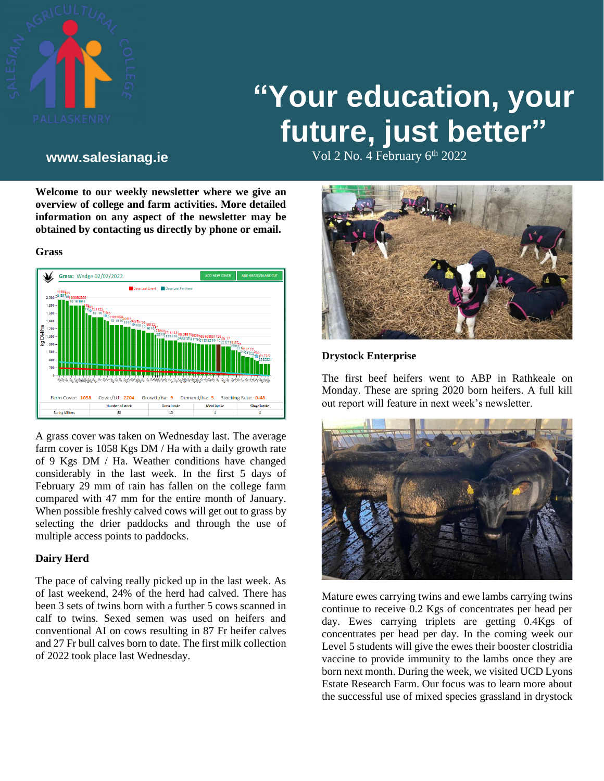

# **"Your education, your future, just better"**

Vol 2 No. 4 February 6th **www.salesianag.ie** 2022

**Welcome to our weekly newsletter where we give an overview of college and farm activities. More detailed information on any aspect of the newsletter may be obtained by contacting us directly by phone or email.**





A grass cover was taken on Wednesday last. The average farm cover is 1058 Kgs DM / Ha with a daily growth rate of 9 Kgs DM / Ha. Weather conditions have changed considerably in the last week. In the first 5 days of February 29 mm of rain has fallen on the college farm compared with 47 mm for the entire month of January. When possible freshly calved cows will get out to grass by selecting the drier paddocks and through the use of multiple access points to paddocks.

# **Dairy Herd**

The pace of calving really picked up in the last week. As of last weekend, 24% of the herd had calved. There has been 3 sets of twins born with a further 5 cows scanned in calf to twins. Sexed semen was used on heifers and conventional AI on cows resulting in 87 Fr heifer calves and 27 Fr bull calves born to date. The first milk collection of 2022 took place last Wednesday.



### **Drystock Enterprise**

The first beef heifers went to ABP in Rathkeale on Monday. These are spring 2020 born heifers. A full kill out report will feature in next week's newsletter.



Mature ewes carrying twins and ewe lambs carrying twins continue to receive 0.2 Kgs of concentrates per head per day. Ewes carrying triplets are getting 0.4Kgs of concentrates per head per day. In the coming week our Level 5 students will give the ewes their booster clostridia vaccine to provide immunity to the lambs once they are born next month. During the week, we visited UCD Lyons Estate Research Farm. Our focus was to learn more about the successful use of mixed species grassland in drystock